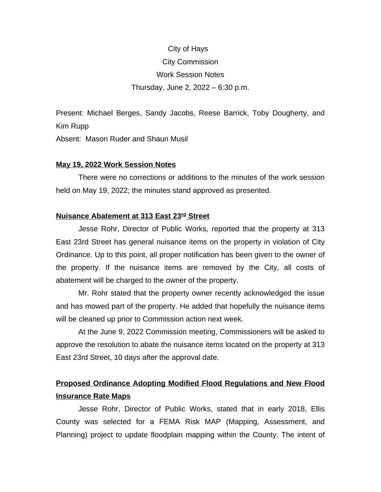# City of Hays City Commission Work Session Notes Thursday, June 2, 2022 – 6:30 p.m.

Present: Michael Berges, Sandy Jacobs, Reese Barrick, Toby Dougherty, and Kim Rupp

Absent: Mason Ruder and Shaun Musil

### **May 19, 2022 Work Session Notes**

There were no corrections or additions to the minutes of the work session held on May 19, 2022; the minutes stand approved as presented.

## **Nuisance Abatement at 313 East 23rd Street**

Jesse Rohr, Director of Public Works, reported that the property at 313 East 23rd Street has general nuisance items on the property in violation of City Ordinance. Up to this point, all proper notification has been given to the owner of the property. If the nuisance items are removed by the City, all costs of abatement will be charged to the owner of the property.

Mr. Rohr stated that the property owner recently acknowledged the issue and has mowed part of the property. He added that hopefully the nuisance items will be cleaned up prior to Commission action next week.

At the June 9, 2022 Commission meeting, Commissioners will be asked to approve the resolution to abate the nuisance items located on the property at 313 East 23rd Street, 10 days after the approval date.

## **Proposed Ordinance Adopting Modified Flood Regulations and New Flood Insurance Rate Maps**

Jesse Rohr, Director of Public Works, stated that in early 2018, Ellis County was selected for a FEMA Risk MAP (Mapping, Assessment, and Planning) project to update floodplain mapping within the County. The intent of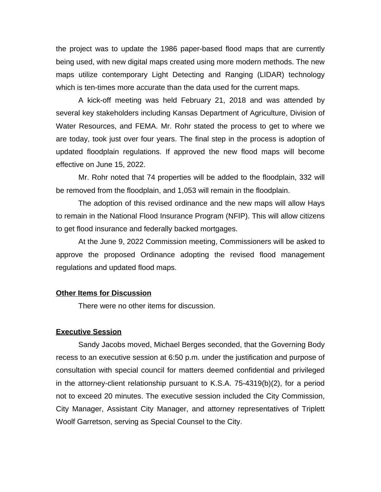the project was to update the 1986 paper-based flood maps that are currently being used, with new digital maps created using more modern methods. The new maps utilize contemporary Light Detecting and Ranging (LIDAR) technology which is ten-times more accurate than the data used for the current maps.

A kick-off meeting was held February 21, 2018 and was attended by several key stakeholders including Kansas Department of Agriculture, Division of Water Resources, and FEMA. Mr. Rohr stated the process to get to where we are today, took just over four years. The final step in the process is adoption of updated floodplain regulations. If approved the new flood maps will become effective on June 15, 2022.

Mr. Rohr noted that 74 properties will be added to the floodplain, 332 will be removed from the floodplain, and 1,053 will remain in the floodplain.

The adoption of this revised ordinance and the new maps will allow Hays to remain in the National Flood Insurance Program (NFIP). This will allow citizens to get flood insurance and federally backed mortgages.

At the June 9, 2022 Commission meeting, Commissioners will be asked to approve the proposed Ordinance adopting the revised flood management regulations and updated flood maps.

### **Other Items for Discussion**

There were no other items for discussion.

#### **Executive Session**

Sandy Jacobs moved, Michael Berges seconded, that the Governing Body recess to an executive session at 6:50 p.m. under the justification and purpose of consultation with special council for matters deemed confidential and privileged in the attorney-client relationship pursuant to K.S.A. 75-4319(b)(2), for a period not to exceed 20 minutes. The executive session included the City Commission, City Manager, Assistant City Manager, and attorney representatives of Triplett Woolf Garretson, serving as Special Counsel to the City.